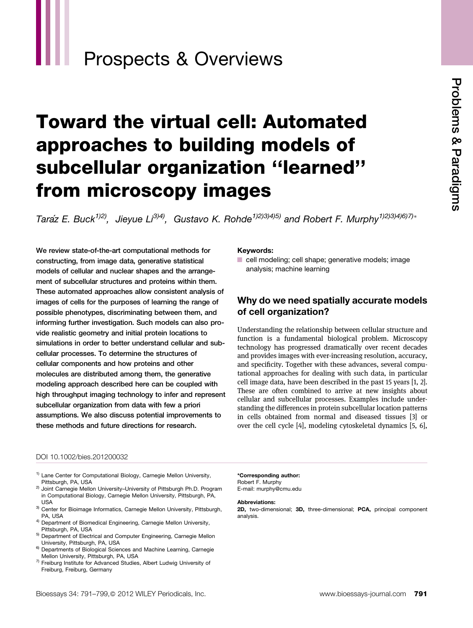## Prospects & Overviews

# Toward the virtual cell: Automated approaches to building models of subcellular organization ''learned'' from microscopy images

Tara´z E. Buck<sup>1)2)</sup>, Jieyue Li<sup>3)4)</sup>, Gustavo K. Rohde<sup>1)2)3)4)5)</sup> and Robert F. Murphy<sup>1)2)3)4)6)7)\*</sup>

We review state-of-the-art computational methods for constructing, from image data, generative statistical models of cellular and nuclear shapes and the arrangement of subcellular structures and proteins within them. These automated approaches allow consistent analysis of images of cells for the purposes of learning the range of possible phenotypes, discriminating between them, and informing further investigation. Such models can also provide realistic geometry and initial protein locations to simulations in order to better understand cellular and subcellular processes. To determine the structures of cellular components and how proteins and other molecules are distributed among them, the generative modeling approach described here can be coupled with high throughput imaging technology to infer and represent subcellular organization from data with few a priori assumptions. We also discuss potential improvements to these methods and future directions for research.

#### Keywords:

cell modeling; cell shape; generative models; image analysis; machine learning

## Why do we need spatially accurate models of cell organization?

Understanding the relationship between cellular structure and function is a fundamental biological problem. Microscopy technology has progressed dramatically over recent decades and provides images with ever-increasing resolution, accuracy, and specificity. Together with these advances, several computational approaches for dealing with such data, in particular cell image data, have been described in the past 15 years [1, 2]. These are often combined to arrive at new insights about cellular and subcellular processes. Examples include understanding the differences in protein subcellular location patterns in cells obtained from normal and diseased tissues [3] or over the cell cycle [4], modeling cytoskeletal dynamics [5, 6],

#### DOI 10.1002/bies.201200032

- <sup>1)</sup> Lane Center for Computational Biology, Carnegie Mellon University,
- Pittsburgh, PA, USA<br><sup>2)</sup> Joint Carnegie Mellon University–University of Pittsburgh Ph.D. Program in Computational Biology, Carnegie Mellon University, Pittsburgh, PA,
- USA 3) Center for Bioimage Informatics, Carnegie Mellon University, Pittsburgh,
- PA, USA<br><sup>4)</sup> Department of Biomedical Engineering, Carnegie Mellon University,
- Pittsburgh, PA, USA<br><sup>5)</sup> Department of Electrical and Computer Engineering, Carnegie Mellon<br>University, Pittsburgh, PA, USA
- <sup>6)</sup> Departments of Biological Sciences and Machine Learning, Carnegie
- Mellon University, Pittsburgh, PA, USA 7) Freiburg Institute for Advanced Studies, Albert Ludwig University of Freiburg, Freiburg, Germany

\*Corresponding author: Robert F. Murphy E-mail: murphy@cmu.edu

#### Abbreviations:

2D, two-dimensional; 3D, three-dimensional; PCA, principal component analysis.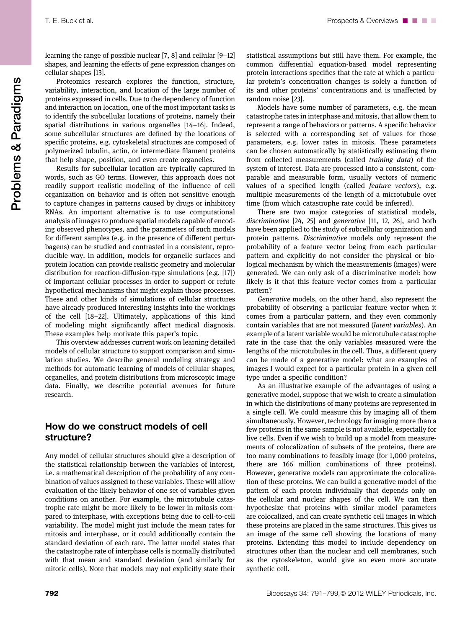Problems & Paradigms Problems & Paradigms learning the range of possible nuclear [7, 8] and cellular [9–12] shapes, and learning the effects of gene expression changes on cellular shapes [13].

Proteomics research explores the function, structure, variability, interaction, and location of the large number of proteins expressed in cells. Due to the dependency of function and interaction on location, one of the most important tasks is to identify the subcellular locations of proteins, namely their spatial distributions in various organelles [14–16]. Indeed, some subcellular structures are defined by the locations of specific proteins, e.g. cytoskeletal structures are composed of polymerized tubulin, actin, or intermediate filament proteins that help shape, position, and even create organelles.

Results for subcellular location are typically captured in words, such as GO terms. However, this approach does not readily support realistic modeling of the influence of cell organization on behavior and is often not sensitive enough to capture changes in patterns caused by drugs or inhibitory RNAs. An important alternative is to use computational analysis of images to produce spatial models capable of encoding observed phenotypes, and the parameters of such models for different samples (e.g. in the presence of different perturbagens) can be studied and contrasted in a consistent, reproducible way. In addition, models for organelle surfaces and protein location can provide realistic geometry and molecular distribution for reaction-diffusion-type simulations (e.g. [17]) of important cellular processes in order to support or refute hypothetical mechanisms that might explain those processes. These and other kinds of simulations of cellular structures have already produced interesting insights into the workings of the cell [18–22]. Ultimately, applications of this kind of modeling might significantly affect medical diagnosis. These examples help motivate this paper's topic.

This overview addresses current work on learning detailed models of cellular structure to support comparison and simulation studies. We describe general modeling strategy and methods for automatic learning of models of cellular shapes, organelles, and protein distributions from microscopic image data. Finally, we describe potential avenues for future research.

## How do we construct models of cell structure?

Any model of cellular structures should give a description of the statistical relationship between the variables of interest, i.e. a mathematical description of the probability of any combination of values assigned to these variables. These will allow evaluation of the likely behavior of one set of variables given conditions on another. For example, the microtubule catastrophe rate might be more likely to be lower in mitosis compared to interphase, with exceptions being due to cell-to-cell variability. The model might just include the mean rates for mitosis and interphase, or it could additionally contain the standard deviation of each rate. The latter model states that the catastrophe rate of interphase cells is normally distributed with that mean and standard deviation (and similarly for mitotic cells). Note that models may not explicitly state their

statistical assumptions but still have them. For example, the common differential equation-based model representing protein interactions specifies that the rate at which a particular protein's concentration changes is solely a function of its and other proteins' concentrations and is unaffected by random noise [23].

Models have some number of parameters, e.g. the mean catastrophe rates in interphase and mitosis, that allow them to represent a range of behaviors or patterns. A specific behavior is selected with a corresponding set of values for those parameters, e.g. lower rates in mitosis. These parameters can be chosen automatically by statistically estimating them from collected measurements (called training data) of the system of interest. Data are processed into a consistent, comparable and measurable form, usually vectors of numeric values of a specified length (called feature vectors), e.g. multiple measurements of the length of a microtubule over time (from which catastrophe rate could be inferred).

There are two major categories of statistical models, discriminative [24, 25] and generative [11, 12, 26], and both have been applied to the study of subcellular organization and protein patterns. Discriminative models only represent the probability of a feature vector being from each particular pattern and explicitly do not consider the physical or biological mechanism by which the measurements (images) were generated. We can only ask of a discriminative model: how likely is it that this feature vector comes from a particular pattern?

Generative models, on the other hand, also represent the probability of observing a particular feature vector when it comes from a particular pattern, and they even commonly contain variables that are not measured (latent variables). An example of a latent variable would be microtubule catastrophe rate in the case that the only variables measured were the lengths of the microtubules in the cell. Thus, a different query can be made of a generative model: what are examples of images I would expect for a particular protein in a given cell type under a specific condition?

As an illustrative example of the advantages of using a generative model, suppose that we wish to create a simulation in which the distributions of many proteins are represented in a single cell. We could measure this by imaging all of them simultaneously. However, technology for imaging more than a few proteins in the same sample is not available, especially for live cells. Even if we wish to build up a model from measurements of colocalization of subsets of the proteins, there are too many combinations to feasibly image (for 1,000 proteins, there are 166 million combinations of three proteins). However, generative models can approximate the colocalization of these proteins. We can build a generative model of the pattern of each protein individually that depends only on the cellular and nuclear shapes of the cell. We can then hypothesize that proteins with similar model parameters are colocalized, and can create synthetic cell images in which these proteins are placed in the same structures. This gives us an image of the same cell showing the locations of many proteins. Extending this model to include dependency on structures other than the nuclear and cell membranes, such as the cytoskeleton, would give an even more accurate synthetic cell.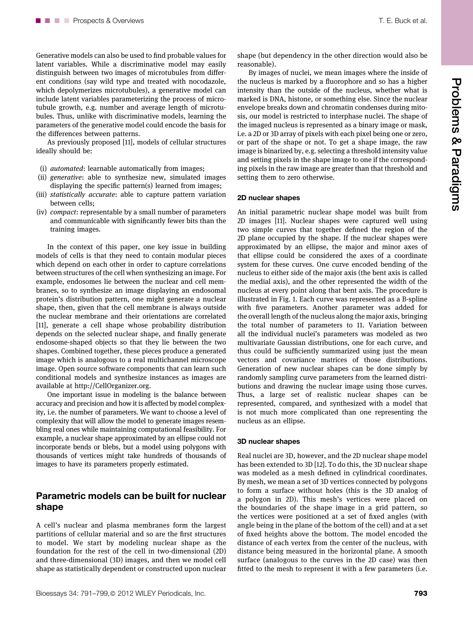Generative models can also be used to find probable values for latent variables. While a discriminative model may easily distinguish between two images of microtubules from different conditions (say wild type and treated with nocodazole, which depolymerizes microtubules), a generative model can include latent variables parameterizing the process of microtubule growth, e.g. number and average length of microtubules. Thus, unlike with discriminative models, learning the parameters of the generative model could encode the basis for the differences between patterns.

As previously proposed [11], models of cellular structures ideally should be:

- (i) automated: learnable automatically from images;
- (ii) generative: able to synthesize new, simulated images displaying the specific pattern(s) learned from images;
- (iii) statistically accurate: able to capture pattern variation between cells;
- (iv) compact: representable by a small number of parameters and communicable with significantly fewer bits than the training images.

In the context of this paper, one key issue in building models of cells is that they need to contain modular pieces which depend on each other in order to capture correlations between structures of the cell when synthesizing an image. For example, endosomes lie between the nuclear and cell membranes, so to synthesize an image displaying an endosomal protein's distribution pattern, one might generate a nuclear shape, then, given that the cell membrane is always outside the nuclear membrane and their orientations are correlated [11], generate a cell shape whose probability distribution depends on the selected nuclear shape, and finally generate endosome-shaped objects so that they lie between the two shapes. Combined together, these pieces produce a generated image which is analogous to a real multichannel microscope image. Open source software components that can learn such conditional models and synthesize instances as images are available at http://CellOrganizer.org.

One important issue in modeling is the balance between accuracy and precision and how it is affected by model complexity, i.e. the number of parameters. We want to choose a level of complexity that will allow the model to generate images resembling real ones while maintaining computational feasibility. For example, a nuclear shape approximated by an ellipse could not incorporate bends or blebs, but a model using polygons with thousands of vertices might take hundreds of thousands of images to have its parameters properly estimated.

### Parametric models can be built for nuclear shape

A cell's nuclear and plasma membranes form the largest partitions of cellular material and so are the first structures to model. We start by modeling nuclear shape as the foundation for the rest of the cell in two-dimensional (2D) and three-dimensional (3D) images, and then we model cell shape as statistically dependent or constructed upon nuclear shape (but dependency in the other direction would also be reasonable).

By images of nuclei, we mean images where the inside of the nucleus is marked by a fluorophore and so has a higher intensity than the outside of the nucleus, whether what is marked is DNA, histone, or something else. Since the nuclear envelope breaks down and chromatin condenses during mitosis, our model is restricted to interphase nuclei. The shape of the imaged nucleus is represented as a binary image or mask, i.e. a 2D or 3D array of pixels with each pixel being one or zero, or part of the shape or not. To get a shape image, the raw image is binarized by, e.g. selecting a threshold intensity value and setting pixels in the shape image to one if the corresponding pixels in the raw image are greater than that threshold and setting them to zero otherwise.

#### 2D nuclear shapes

An initial parametric nuclear shape model was built from 2D images [11]. Nuclear shapes were captured well using two simple curves that together defined the region of the 2D plane occupied by the shape. If the nuclear shapes were approximated by an ellipse, the major and minor axes of that ellipse could be considered the axes of a coordinate system for these curves. One curve encoded bending of the nucleus to either side of the major axis (the bent axis is called the medial axis), and the other represented the width of the nucleus at every point along that bent axis. The procedure is illustrated in Fig. 1. Each curve was represented as a B-spline with five parameters. Another parameter was added for the overall length of the nucleus along the major axis, bringing the total number of parameters to 11. Variation between all the individual nuclei's parameters was modeled as two multivariate Gaussian distributions, one for each curve, and thus could be sufficiently summarized using just the mean vectors and covariance matrices of those distributions. Generation of new nuclear shapes can be done simply by randomly sampling curve parameters from the learned distributions and drawing the nuclear image using those curves. Thus, a large set of realistic nuclear shapes can be represented, compared, and synthesized with a model that is not much more complicated than one representing the nucleus as an ellipse.

#### 3D nuclear shapes

Real nuclei are 3D, however, and the 2D nuclear shape model has been extended to 3D [12]. To do this, the 3D nuclear shape was modeled as a mesh defined in cylindrical coordinates. By mesh, we mean a set of 3D vertices connected by polygons to form a surface without holes (this is the 3D analog of a polygon in 2D). This mesh's vertices were placed on the boundaries of the shape image in a grid pattern, so the vertices were positioned at a set of fixed angles (with angle being in the plane of the bottom of the cell) and at a set of fixed heights above the bottom. The model encoded the distance of each vertex from the center of the nucleus, with distance being measured in the horizontal plane. A smooth surface (analogous to the curves in the 2D case) was then fitted to the mesh to represent it with a few parameters (i.e.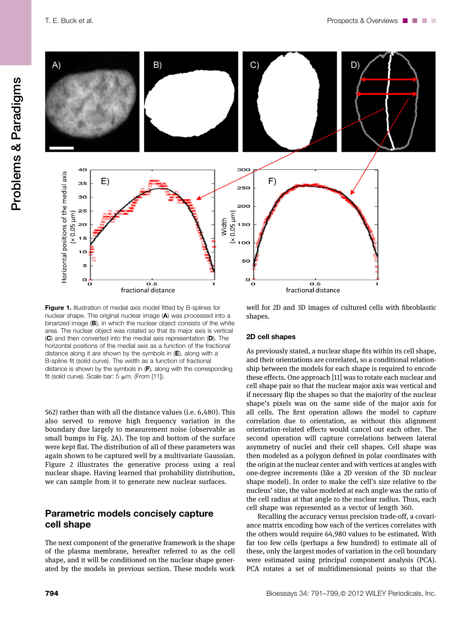

Figure 1. Illustration of medial axis model fitted by B-splines for nuclear shape. The original nuclear image (A) was processed into a binarized image (B), in which the nuclear object consists of the white area. The nuclear object was rotated so that its major axis is vertical (C) and then converted into the medial axis representation (D). The horizontal positions of the medial axis as a function of the fractional distance along it are shown by the symbols in  $(E)$ , along with a B-spline fit (solid curve). The width as a function of fractional distance is shown by the symbols in (F), along with the corresponding fit (solid curve). Scale bar: 5  $\mu$ m. (From [11]).

562) rather than with all the distance values (i.e. 6,480). This also served to remove high frequency variation in the boundary due largely to measurement noise (observable as small bumps in Fig. 2A). The top and bottom of the surface were kept flat. The distribution of all of these parameters was again shown to be captured well by a multivariate Gaussian. Figure 2 illustrates the generative process using a real nuclear shape. Having learned that probability distribution, we can sample from it to generate new nuclear surfaces.

## Parametric models concisely capture cell shape

The next component of the generative framework is the shape of the plasma membrane, hereafter referred to as the cell shape, and it will be conditioned on the nuclear shape generated by the models in previous section. These models work well for 2D and 3D images of cultured cells with fibroblastic shapes.

#### 2D cell shapes

As previously stated, a nuclear shape fits within its cell shape, and their orientations are correlated, so a conditional relationship between the models for each shape is required to encode these effects. One approach [11] was to rotate each nuclear and cell shape pair so that the nuclear major axis was vertical and if necessary flip the shapes so that the majority of the nuclear shape's pixels was on the same side of the major axis for all cells. The first operation allows the model to capture correlation due to orientation, as without this alignment orientation-related effects would cancel out each other. The second operation will capture correlations between lateral asymmetry of nuclei and their cell shapes. Cell shape was then modeled as a polygon defined in polar coordinates with the origin at the nuclear center and with vertices at angles with one-degree increments (like a 2D version of the 3D nuclear shape model). In order to make the cell's size relative to the nucleus' size, the value modeled at each angle was the ratio of the cell radius at that angle to the nuclear radius. Thus, each cell shape was represented as a vector of length 360.

Recalling the accuracy versus precision trade-off, a covariance matrix encoding how each of the vertices correlates with the others would require 64,980 values to be estimated. With far too few cells (perhaps a few hundred) to estimate all of these, only the largest modes of variation in the cell boundary were estimated using principal component analysis (PCA). PCA rotates a set of multidimensional points so that the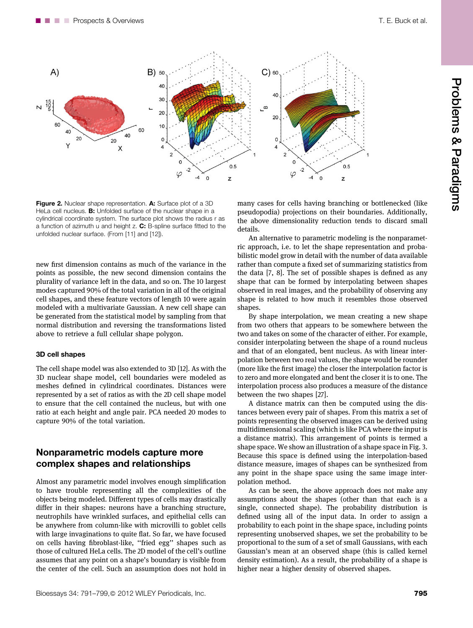

Figure 2. Nuclear shape representation. A: Surface plot of a 3D HeLa cell nucleus. **B:** Unfolded surface of the nuclear shape in a cylindrical coordinate system. The surface plot shows the radius r as a function of azimuth u and height z. C: B-spline surface fitted to the unfolded nuclear surface. (From [11] and [12]).

new first dimension contains as much of the variance in the points as possible, the new second dimension contains the plurality of variance left in the data, and so on. The 10 largest modes captured 90% of the total variation in all of the original cell shapes, and these feature vectors of length 10 were again modeled with a multivariate Gaussian. A new cell shape can be generated from the statistical model by sampling from that normal distribution and reversing the transformations listed above to retrieve a full cellular shape polygon.

#### 3D cell shapes

The cell shape model was also extended to 3D [12]. As with the 3D nuclear shape model, cell boundaries were modeled as meshes defined in cylindrical coordinates. Distances were represented by a set of ratios as with the 2D cell shape model to ensure that the cell contained the nucleus, but with one ratio at each height and angle pair. PCA needed 20 modes to capture 90% of the total variation.

### Nonparametric models capture more complex shapes and relationships

Almost any parametric model involves enough simplification to have trouble representing all the complexities of the objects being modeled. Different types of cells may drastically differ in their shapes: neurons have a branching structure, neutrophils have wrinkled surfaces, and epithelial cells can be anywhere from column-like with microvilli to goblet cells with large invaginations to quite flat. So far, we have focused on cells having fibroblast-like, ''fried egg'' shapes such as those of cultured HeLa cells. The 2D model of the cell's outline assumes that any point on a shape's boundary is visible from the center of the cell. Such an assumption does not hold in many cases for cells having branching or bottlenecked (like pseudopodia) projections on their boundaries. Additionally, the above dimensionality reduction tends to discard small details.

An alternative to parametric modeling is the nonparametric approach, i.e. to let the shape representation and probabilistic model grow in detail with the number of data available rather than compute a fixed set of summarizing statistics from the data [7, 8]. The set of possible shapes is defined as any shape that can be formed by interpolating between shapes observed in real images, and the probability of observing any shape is related to how much it resembles those observed shapes.

By shape interpolation, we mean creating a new shape from two others that appears to be somewhere between the two and takes on some of the character of either. For example, consider interpolating between the shape of a round nucleus and that of an elongated, bent nucleus. As with linear interpolation between two real values, the shape would be rounder (more like the first image) the closer the interpolation factor is to zero and more elongated and bent the closer it is to one. The interpolation process also produces a measure of the distance between the two shapes [27].

A distance matrix can then be computed using the distances between every pair of shapes. From this matrix a set of points representing the observed images can be derived using multidimensional scaling (which is like PCA where the input is a distance matrix). This arrangement of points is termed a shape space. We show an illustration of a shape space in Fig. 3. Because this space is defined using the interpolation-based distance measure, images of shapes can be synthesized from any point in the shape space using the same image interpolation method.

As can be seen, the above approach does not make any assumptions about the shapes (other than that each is a single, connected shape). The probability distribution is defined using all of the input data. In order to assign a probability to each point in the shape space, including points representing unobserved shapes, we set the probability to be proportional to the sum of a set of small Gaussians, with each Gaussian's mean at an observed shape (this is called kernel density estimation). As a result, the probability of a shape is higher near a higher density of observed shapes.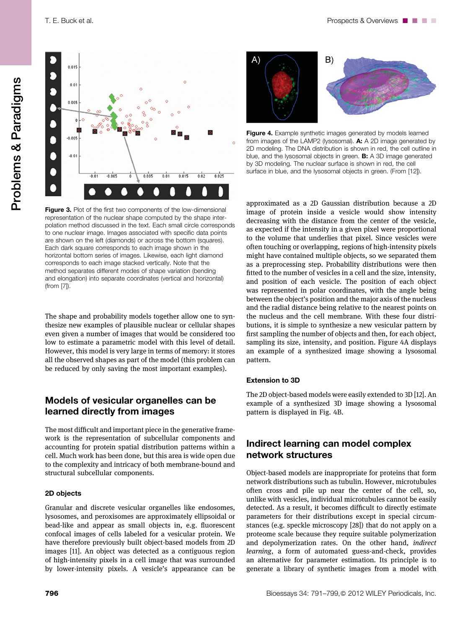

Figure 3. Plot of the first two components of the low-dimensional representation of the nuclear shape computed by the shape interpolation method discussed in the text. Each small circle corresponds to one nuclear image. Images associated with specific data points are shown on the left (diamonds) or across the bottom (squares). Each dark square corresponds to each image shown in the horizontal bottom series of images. Likewise, each light diamond corresponds to each image stacked vertically. Note that the method separates different modes of shape variation (bending and elongation) into separate coordinates (vertical and horizontal) (from [7]).

The shape and probability models together allow one to synthesize new examples of plausible nuclear or cellular shapes even given a number of images that would be considered too low to estimate a parametric model with this level of detail. However, this model is very large in terms of memory: it stores all the observed shapes as part of the model (this problem can be reduced by only saving the most important examples).

## Models of vesicular organelles can be learned directly from images

The most difficult and important piece in the generative framework is the representation of subcellular components and accounting for protein spatial distribution patterns within a cell. Much work has been done, but this area is wide open due to the complexity and intricacy of both membrane-bound and structural subcellular components.

#### 2D objects

Granular and discrete vesicular organelles like endosomes, lysosomes, and peroxisomes are approximately ellipsoidal or bead-like and appear as small objects in, e.g. fluorescent confocal images of cells labeled for a vesicular protein. We have therefore previously built object-based models from 2D images [11]. An object was detected as a contiguous region of high-intensity pixels in a cell image that was surrounded by lower-intensity pixels. A vesicle's appearance can be



Figure 4. Example synthetic images generated by models learned from images of the LAMP2 (lysosomal). A: A 2D image generated by 2D modeling. The DNA distribution is shown in red, the cell outline in blue, and the lysosomal objects in green. B: A 3D image generated by 3D modeling. The nuclear surface is shown in red, the cell surface in blue, and the lysosomal objects in green. (From [12]).

approximated as a 2D Gaussian distribution because a 2D image of protein inside a vesicle would show intensity decreasing with the distance from the center of the vesicle, as expected if the intensity in a given pixel were proportional to the volume that underlies that pixel. Since vesicles were often touching or overlapping, regions of high-intensity pixels might have contained multiple objects, so we separated them as a preprocessing step. Probability distributions were then fitted to the number of vesicles in a cell and the size, intensity, and position of each vesicle. The position of each object was represented in polar coordinates, with the angle being between the object's position and the major axis of the nucleus and the radial distance being relative to the nearest points on the nucleus and the cell membrane. With these four distributions, it is simple to synthesize a new vesicular pattern by first sampling the number of objects and then, for each object, sampling its size, intensity, and position. Figure 4A displays an example of a synthesized image showing a lysosomal pattern.

#### Extension to 3D

The 2D object-based models were easily extended to 3D [12]. An example of a synthesized 3D image showing a lysosomal pattern is displayed in Fig. 4B.

## Indirect learning can model complex network structures

Object-based models are inappropriate for proteins that form network distributions such as tubulin. However, microtubules often cross and pile up near the center of the cell, so, unlike with vesicles, individual microtubules cannot be easily detected. As a result, it becomes difficult to directly estimate parameters for their distributions except in special circumstances (e.g. speckle microscopy [28]) that do not apply on a proteome scale because they require suitable polymerization and depolymerization rates. On the other hand, indirect learning, a form of automated guess-and-check, provides an alternative for parameter estimation. Its principle is to generate a library of synthetic images from a model with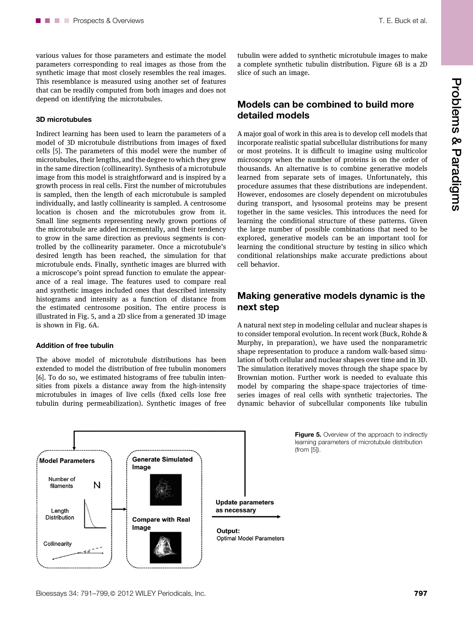various values for those parameters and estimate the model parameters corresponding to real images as those from the synthetic image that most closely resembles the real images. This resemblance is measured using another set of features that can be readily computed from both images and does not depend on identifying the microtubules.

#### 3D microtubules

Indirect learning has been used to learn the parameters of a model of 3D microtubule distributions from images of fixed cells [5]. The parameters of this model were the number of microtubules, their lengths, and the degree to which they grew in the same direction (collinearity). Synthesis of a microtubule image from this model is straightforward and is inspired by a growth process in real cells. First the number of microtubules is sampled, then the length of each microtubule is sampled individually, and lastly collinearity is sampled. A centrosome location is chosen and the microtubules grow from it. Small line segments representing newly grown portions of the microtubule are added incrementally, and their tendency to grow in the same direction as previous segments is controlled by the collinearity parameter. Once a microtubule's desired length has been reached, the simulation for that microtubule ends. Finally, synthetic images are blurred with a microscope's point spread function to emulate the appearance of a real image. The features used to compare real and synthetic images included ones that described intensity histograms and intensity as a function of distance from the estimated centrosome position. The entire process is illustrated in Fig. 5, and a 2D slice from a generated 3D image is shown in Fig. 6A.

#### Addition of free tubulin

The above model of microtubule distributions has been extended to model the distribution of free tubulin monomers [6]. To do so, we estimated histograms of free tubulin intensities from pixels a distance away from the high-intensity microtubules in images of live cells (fixed cells lose free tubulin during permeabilization). Synthetic images of free

**Generate Simulated Model Parameters** Image Number of N filaments **Update parameters** Length as necessary **Distribution Compare with Real** Image Output: Optimal Model Parameters Collinearity

tubulin were added to synthetic microtubule images to make a complete synthetic tubulin distribution. Figure 6B is a 2D slice of such an image.

## Models can be combined to build more detailed models

A major goal of work in this area is to develop cell models that incorporate realistic spatial subcellular distributions for many or most proteins. It is difficult to imagine using multicolor microscopy when the number of proteins is on the order of thousands. An alternative is to combine generative models learned from separate sets of images. Unfortunately, this procedure assumes that these distributions are independent. However, endosomes are closely dependent on microtubules during transport, and lysosomal proteins may be present together in the same vesicles. This introduces the need for learning the conditional structure of these patterns. Given the large number of possible combinations that need to be explored, generative models can be an important tool for learning the conditional structure by testing in silico which conditional relationships make accurate predictions about cell behavior.

## Making generative models dynamic is the next step

A natural next step in modeling cellular and nuclear shapes is to consider temporal evolution. In recent work (Buck, Rohde & Murphy, in preparation), we have used the nonparametric shape representation to produce a random walk-based simulation of both cellular and nuclear shapes over time and in 3D. The simulation iteratively moves through the shape space by Brownian motion. Further work is needed to evaluate this model by comparing the shape-space trajectories of timeseries images of real cells with synthetic trajectories. The dynamic behavior of subcellular components like tubulin

Figure 5. Overview of the approach to indirectly learning parameters of microtubule distribution (from [5]).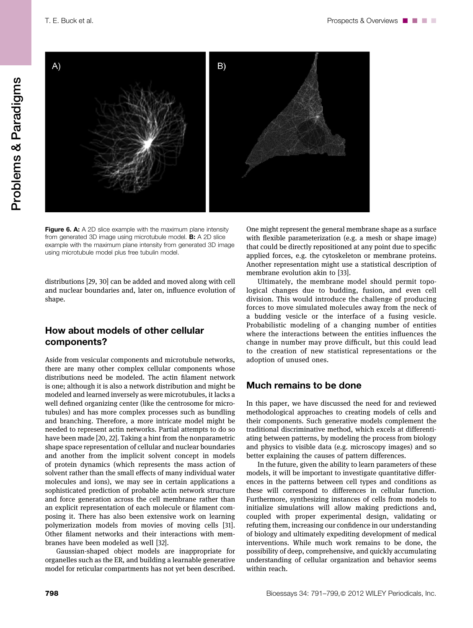

Figure 6. A: A 2D slice example with the maximum plane intensity from generated 3D image using microtubule model. B: A 2D slice example with the maximum plane intensity from generated 3D image using microtubule model plus free tubulin model.

distributions [29, 30] can be added and moved along with cell and nuclear boundaries and, later on, influence evolution of shape.

## How about models of other cellular components?

Aside from vesicular components and microtubule networks, there are many other complex cellular components whose distributions need be modeled. The actin filament network is one; although it is also a network distribution and might be modeled and learned inversely as were microtubules, it lacks a well defined organizing center (like the centrosome for microtubules) and has more complex processes such as bundling and branching. Therefore, a more intricate model might be needed to represent actin networks. Partial attempts to do so have been made [20, 22]. Taking a hint from the nonparametric shape space representation of cellular and nuclear boundaries and another from the implicit solvent concept in models of protein dynamics (which represents the mass action of solvent rather than the small effects of many individual water molecules and ions), we may see in certain applications a sophisticated prediction of probable actin network structure and force generation across the cell membrane rather than an explicit representation of each molecule or filament composing it. There has also been extensive work on learning polymerization models from movies of moving cells [31]. Other filament networks and their interactions with membranes have been modeled as well [32].

Gaussian-shaped object models are inappropriate for organelles such as the ER, and building a learnable generative model for reticular compartments has not yet been described.

One might represent the general membrane shape as a surface with flexible parameterization (e.g. a mesh or shape image) that could be directly repositioned at any point due to specific applied forces, e.g. the cytoskeleton or membrane proteins. Another representation might use a statistical description of membrane evolution akin to [33].

Ultimately, the membrane model should permit topological changes due to budding, fusion, and even cell division. This would introduce the challenge of producing forces to move simulated molecules away from the neck of a budding vesicle or the interface of a fusing vesicle. Probabilistic modeling of a changing number of entities where the interactions between the entities influences the change in number may prove difficult, but this could lead to the creation of new statistical representations or the adoption of unused ones.

## Much remains to be done

In this paper, we have discussed the need for and reviewed methodological approaches to creating models of cells and their components. Such generative models complement the traditional discriminative method, which excels at differentiating between patterns, by modeling the process from biology and physics to visible data (e.g. microscopy images) and so better explaining the causes of pattern differences.

In the future, given the ability to learn parameters of these models, it will be important to investigate quantitative differences in the patterns between cell types and conditions as these will correspond to differences in cellular function. Furthermore, synthesizing instances of cells from models to initialize simulations will allow making predictions and, coupled with proper experimental design, validating or refuting them, increasing our confidence in our understanding of biology and ultimately expediting development of medical interventions. While much work remains to be done, the possibility of deep, comprehensive, and quickly accumulating understanding of cellular organization and behavior seems within reach.